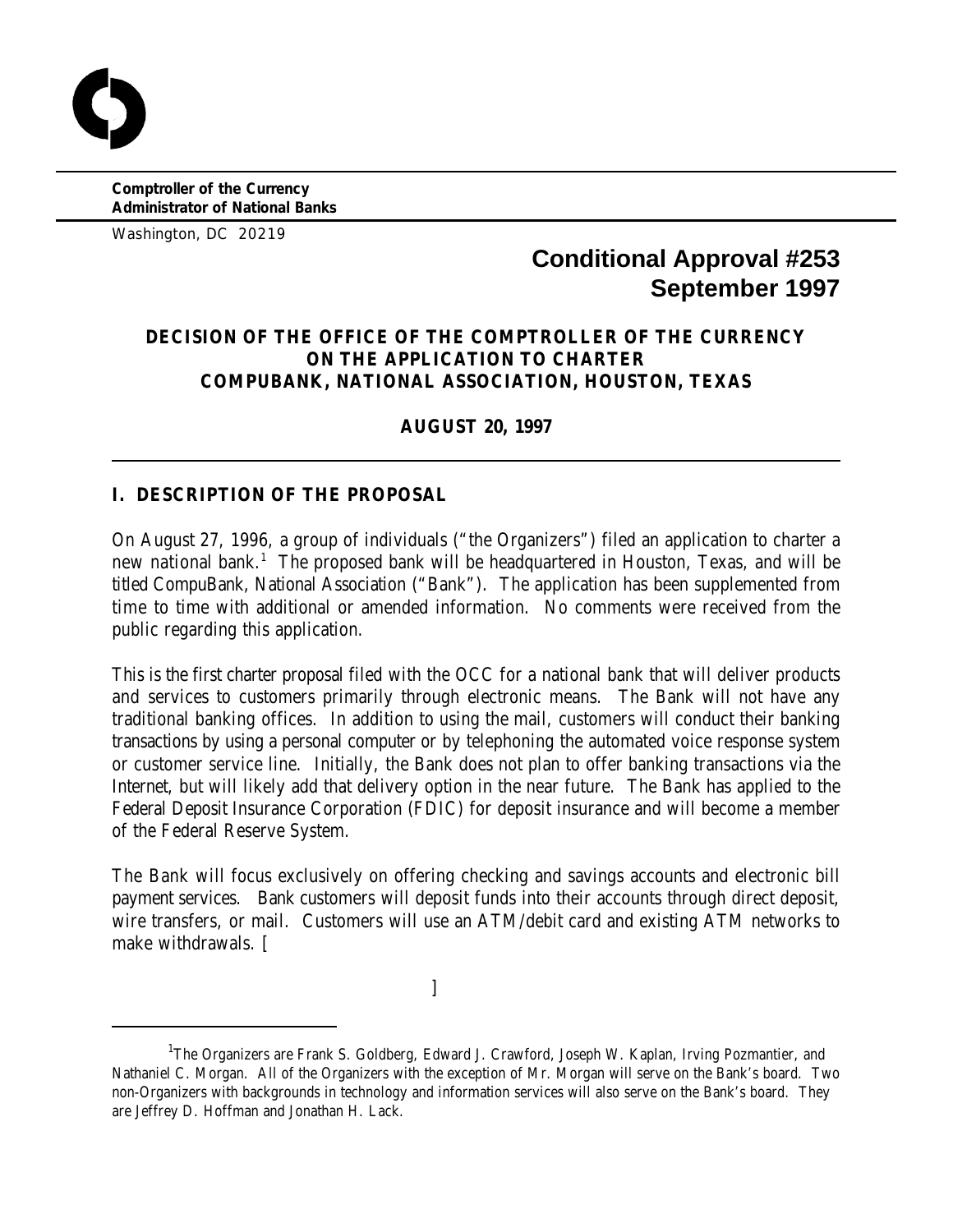**Comptroller of the Currency Administrator of National Banks**

Washington, DC 20219

# **Conditional Approval #253 September 1997**

## **DECISION OF THE OFFICE OF THE COMPTROLLER OF THE CURRENCY ON THE APPLICATION TO CHARTER COMPUBANK, NATIONAL ASSOCIATION, HOUSTON, TEXAS**

**AUGUST 20, 1997**

## **I. DESCRIPTION OF THE PROPOSAL**

On August 27, 1996, a group of individuals ("the Organizers") filed an application to charter a new national bank.<sup>1</sup> The proposed bank will be headquartered in Houston, Texas, and will be titled CompuBank, National Association ("Bank"). The application has been supplemented from time to time with additional or amended information. No comments were received from the public regarding this application.

This is the first charter proposal filed with the OCC for a national bank that will deliver products and services to customers primarily through electronic means. The Bank will not have any traditional banking offices. In addition to using the mail, customers will conduct their banking transactions by using a personal computer or by telephoning the automated voice response system or customer service line. Initially, the Bank does not plan to offer banking transactions via the Internet, but will likely add that delivery option in the near future. The Bank has applied to the Federal Deposit Insurance Corporation (FDIC) for deposit insurance and will become a member of the Federal Reserve System.

The Bank will focus exclusively on offering checking and savings accounts and electronic bill payment services. Bank customers will deposit funds into their accounts through direct deposit, wire transfers, or mail. Customers will use an ATM/debit card and existing ATM networks to make withdrawals. [

 $\begin{bmatrix} 1 & 1 & 1 \ 1 & 1 & 1 \end{bmatrix}$ 

<sup>&</sup>lt;sup>1</sup>The Organizers are Frank S. Goldberg, Edward J. Crawford, Joseph W. Kaplan, Irving Pozmantier, and Nathaniel C. Morgan. All of the Organizers with the exception of Mr. Morgan will serve on the Bank's board. Two non-Organizers with backgrounds in technology and information services will also serve on the Bank's board. They are Jeffrey D. Hoffman and Jonathan H. Lack.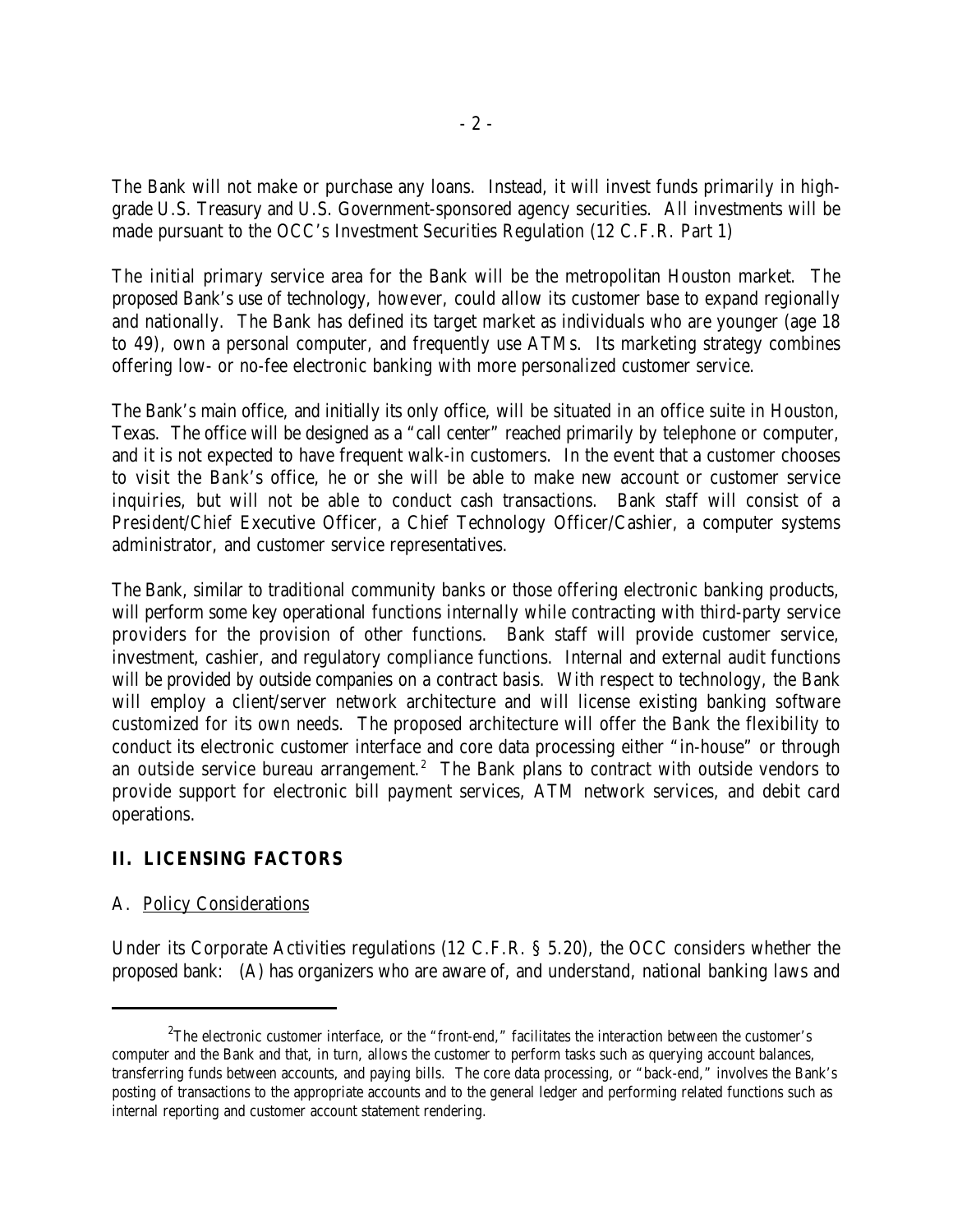The Bank will not make or purchase any loans. Instead, it will invest funds primarily in highgrade U.S. Treasury and U.S. Government-sponsored agency securities. All investments will be made pursuant to the OCC's Investment Securities Regulation (12 C.F.R. Part 1)

The initial primary service area for the Bank will be the metropolitan Houston market. The proposed Bank's use of technology, however, could allow its customer base to expand regionally and nationally. The Bank has defined its target market as individuals who are younger (age 18 to 49), own a personal computer, and frequently use ATMs. Its marketing strategy combines offering low- or no-fee electronic banking with more personalized customer service.

The Bank's main office, and initially its only office, will be situated in an office suite in Houston, Texas. The office will be designed as a "call center" reached primarily by telephone or computer, and it is not expected to have frequent walk-in customers. In the event that a customer chooses to visit the Bank's office, he or she will be able to make new account or customer service inquiries, but will not be able to conduct cash transactions. Bank staff will consist of a President/Chief Executive Officer, a Chief Technology Officer/Cashier, a computer systems administrator, and customer service representatives.

The Bank, similar to traditional community banks or those offering electronic banking products, will perform some key operational functions internally while contracting with third-party service providers for the provision of other functions. Bank staff will provide customer service, investment, cashier, and regulatory compliance functions. Internal and external audit functions will be provided by outside companies on a contract basis. With respect to technology, the Bank will employ a client/server network architecture and will license existing banking software customized for its own needs. The proposed architecture will offer the Bank the flexibility to conduct its electronic customer interface and core data processing either "in-house" or through an outside service bureau arrangement.<sup>2</sup> The Bank plans to contract with outside vendors to provide support for electronic bill payment services, ATM network services, and debit card operations.

### **II. LICENSING FACTORS**

### A. Policy Considerations

Under its Corporate Activities regulations (12 C.F.R. § 5.20), the OCC considers whether the proposed bank: (A) has organizers who are aware of, and understand, national banking laws and

 $2^2$ The electronic customer interface, or the "front-end," facilitates the interaction between the customer's computer and the Bank and that, in turn, allows the customer to perform tasks such as querying account balances, transferring funds between accounts, and paying bills. The core data processing, or "back-end," involves the Bank's posting of transactions to the appropriate accounts and to the general ledger and performing related functions such as internal reporting and customer account statement rendering.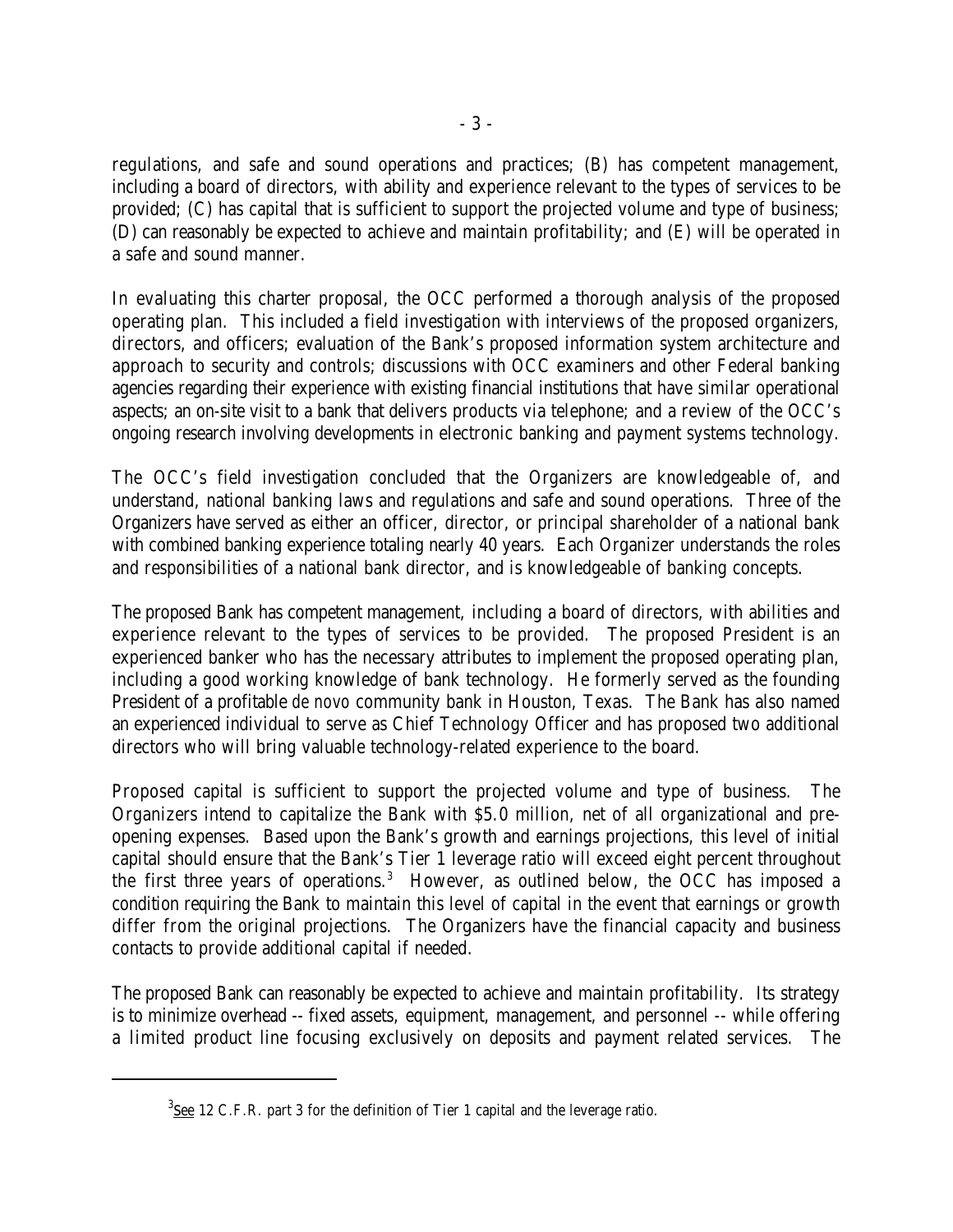regulations, and safe and sound operations and practices; (B) has competent management, including a board of directors, with ability and experience relevant to the types of services to be provided; (C) has capital that is sufficient to support the projected volume and type of business; (D) can reasonably be expected to achieve and maintain profitability; and (E) will be operated in a safe and sound manner.

In evaluating this charter proposal, the OCC performed a thorough analysis of the proposed operating plan. This included a field investigation with interviews of the proposed organizers, directors, and officers; evaluation of the Bank's proposed information system architecture and approach to security and controls; discussions with OCC examiners and other Federal banking agencies regarding their experience with existing financial institutions that have similar operational aspects; an on-site visit to a bank that delivers products via telephone; and a review of the OCC's ongoing research involving developments in electronic banking and payment systems technology.

The OCC's field investigation concluded that the Organizers are knowledgeable of, and understand, national banking laws and regulations and safe and sound operations. Three of the Organizers have served as either an officer, director, or principal shareholder of a national bank with combined banking experience totaling nearly 40 years. Each Organizer understands the roles and responsibilities of a national bank director, and is knowledgeable of banking concepts.

The proposed Bank has competent management, including a board of directors, with abilities and experience relevant to the types of services to be provided. The proposed President is an experienced banker who has the necessary attributes to implement the proposed operating plan, including a good working knowledge of bank technology. He formerly served as the founding President of a profitable *de novo* community bank in Houston, Texas. The Bank has also named an experienced individual to serve as Chief Technology Officer and has proposed two additional directors who will bring valuable technology-related experience to the board.

Proposed capital is sufficient to support the projected volume and type of business. The Organizers intend to capitalize the Bank with \$5.0 million, net of all organizational and preopening expenses. Based upon the Bank's growth and earnings projections, this level of initial capital should ensure that the Bank's Tier 1 leverage ratio will exceed eight percent throughout the first three years of operations.<sup>3</sup> However, as outlined below, the OCC has imposed a condition requiring the Bank to maintain this level of capital in the event that earnings or growth differ from the original projections. The Organizers have the financial capacity and business contacts to provide additional capital if needed.

The proposed Bank can reasonably be expected to achieve and maintain profitability. Its strategy is to minimize overhead -- fixed assets, equipment, management, and personnel -- while offering a limited product line focusing exclusively on deposits and payment related services. The

 $3$  See 12 C.F.R. part 3 for the definition of Tier 1 capital and the leverage ratio.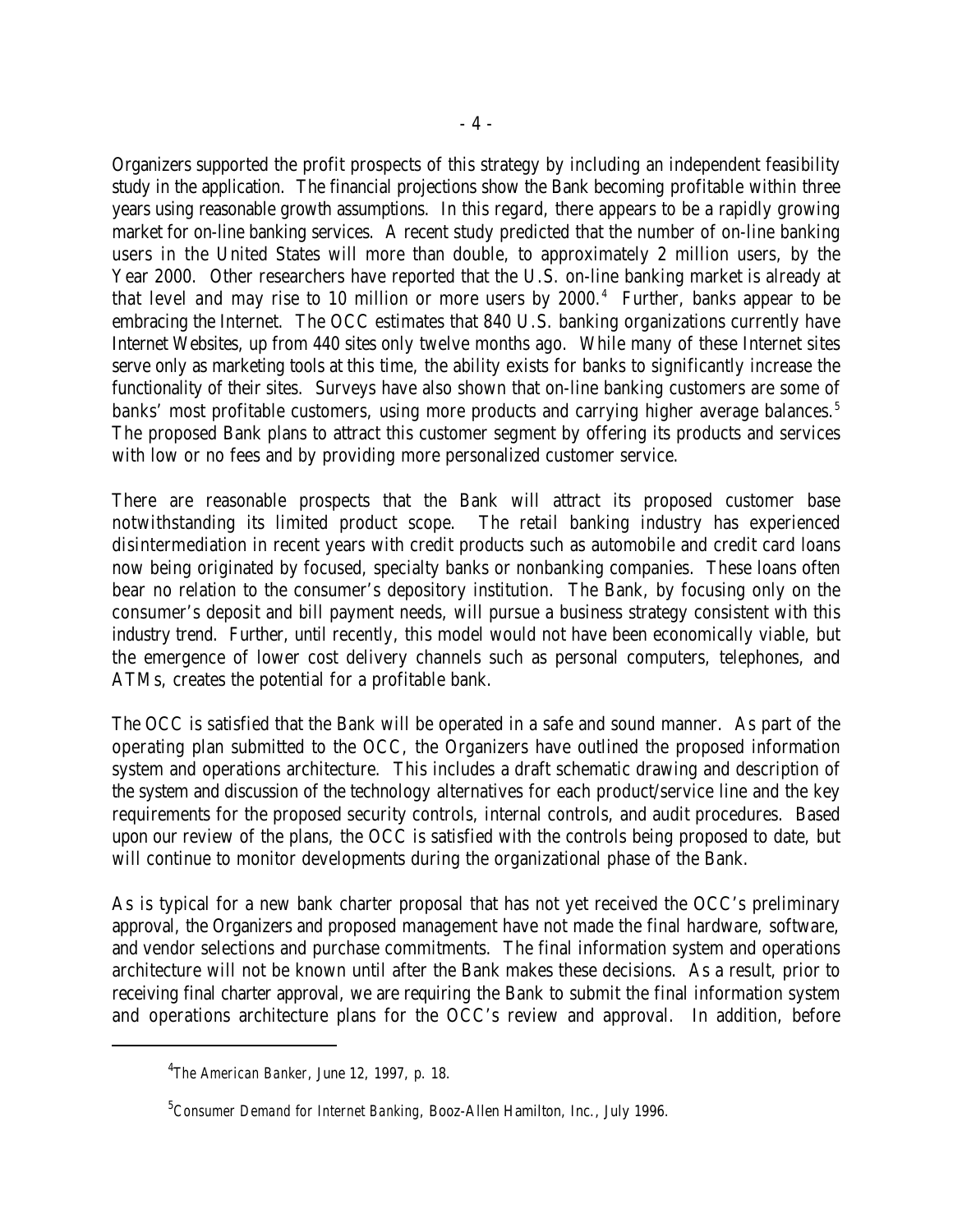Organizers supported the profit prospects of this strategy by including an independent feasibility study in the application. The financial projections show the Bank becoming profitable within three years using reasonable growth assumptions. In this regard, there appears to be a rapidly growing market for on-line banking services. A recent study predicted that the number of on-line banking users in the United States will more than double, to approximately 2 million users, by the Year 2000. Other researchers have reported that the U.S. on-line banking market is already at that level and may rise to 10 million or more users by  $2000.^4$  Further, banks appear to be embracing the Internet. The OCC estimates that 840 U.S. banking organizations currently have Internet Websites, up from 440 sites only twelve months ago. While many of these Internet sites serve only as marketing tools at this time, the ability exists for banks to significantly increase the functionality of their sites. Surveys have also shown that on-line banking customers are some of banks' most profitable customers, using more products and carrying higher average balances.<sup>5</sup> The proposed Bank plans to attract this customer segment by offering its products and services with low or no fees and by providing more personalized customer service.

There are reasonable prospects that the Bank will attract its proposed customer base notwithstanding its limited product scope. The retail banking industry has experienced disintermediation in recent years with credit products such as automobile and credit card loans now being originated by focused, specialty banks or nonbanking companies. These loans often bear no relation to the consumer's depository institution. The Bank, by focusing only on the consumer's deposit and bill payment needs, will pursue a business strategy consistent with this industry trend. Further, until recently, this model would not have been economically viable, but the emergence of lower cost delivery channels such as personal computers, telephones, and ATMs, creates the potential for a profitable bank.

The OCC is satisfied that the Bank will be operated in a safe and sound manner. As part of the operating plan submitted to the OCC, the Organizers have outlined the proposed information system and operations architecture. This includes a draft schematic drawing and description of the system and discussion of the technology alternatives for each product/service line and the key requirements for the proposed security controls, internal controls, and audit procedures. Based upon our review of the plans, the OCC is satisfied with the controls being proposed to date, but will continue to monitor developments during the organizational phase of the Bank.

As is typical for a new bank charter proposal that has not yet received the OCC's preliminary approval, the Organizers and proposed management have not made the final hardware, software, and vendor selections and purchase commitments. The final information system and operations architecture will not be known until after the Bank makes these decisions. As a result, prior to receiving final charter approval, we are requiring the Bank to submit the final information system and operations architecture plans for the OCC's review and approval. In addition, before

*The American Banker*, June 12, 1997, p. 18. <sup>4</sup>

<sup>&</sup>lt;sup>5</sup> Consumer Demand for Internet Banking, Booz-Allen Hamilton, Inc., July 1996.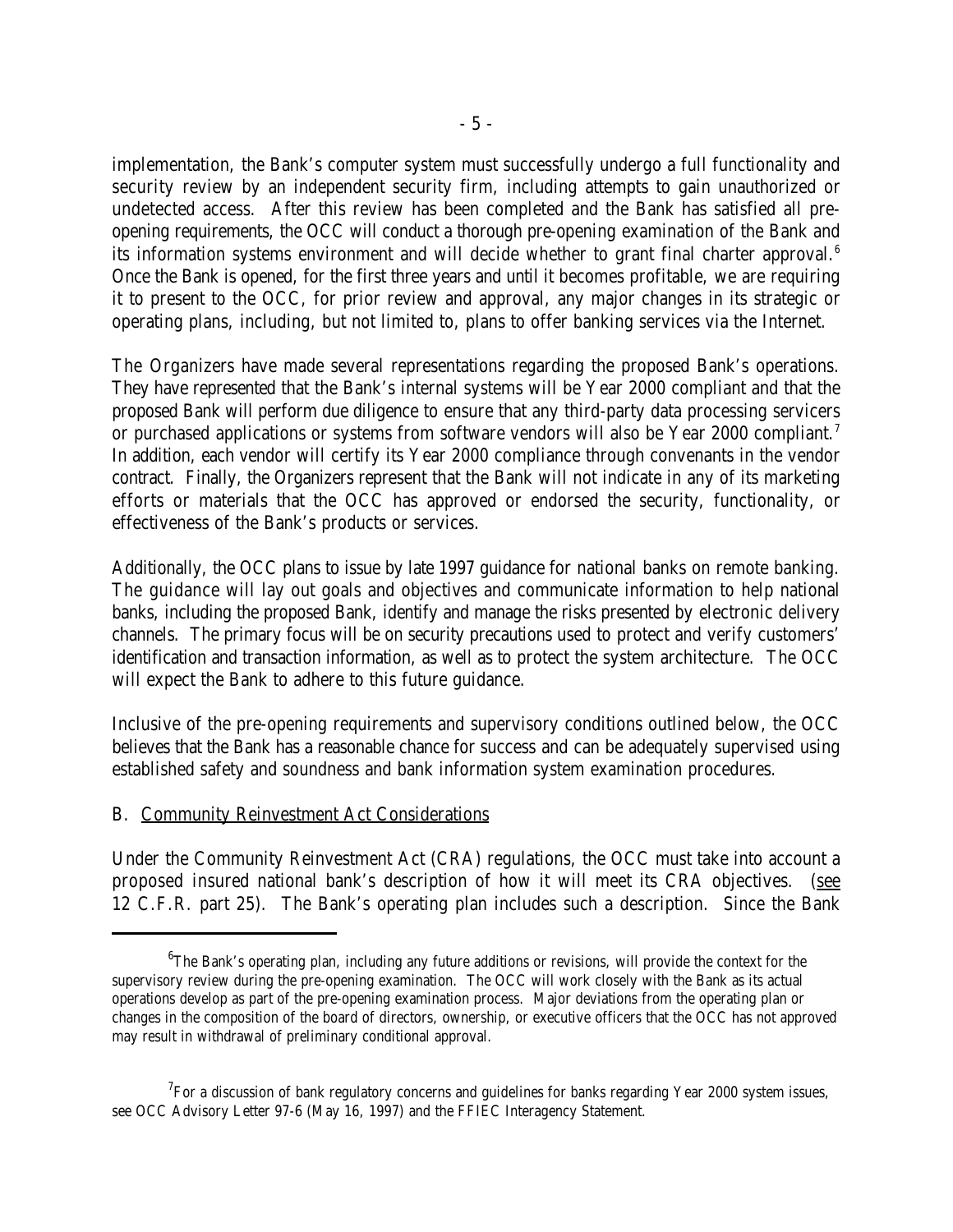implementation, the Bank's computer system must successfully undergo a full functionality and security review by an independent security firm, including attempts to gain unauthorized or undetected access. After this review has been completed and the Bank has satisfied all preopening requirements, the OCC will conduct a thorough pre-opening examination of the Bank and its information systems environment and will decide whether to grant final charter approval.<sup>6</sup> Once the Bank is opened, for the first three years and until it becomes profitable, we are requiring it to present to the OCC, for prior review and approval, any major changes in its strategic or operating plans, including, but not limited to, plans to offer banking services via the Internet.

The Organizers have made several representations regarding the proposed Bank's operations. They have represented that the Bank's internal systems will be Year 2000 compliant and that the proposed Bank will perform due diligence to ensure that any third-party data processing servicers or purchased applications or systems from software vendors will also be Year 2000 compliant.<sup>7</sup> In addition, each vendor will certify its Year 2000 compliance through convenants in the vendor contract. Finally, the Organizers represent that the Bank will not indicate in any of its marketing efforts or materials that the OCC has approved or endorsed the security, functionality, or effectiveness of the Bank's products or services.

Additionally, the OCC plans to issue by late 1997 guidance for national banks on remote banking. The guidance will lay out goals and objectives and communicate information to help national banks, including the proposed Bank, identify and manage the risks presented by electronic delivery channels. The primary focus will be on security precautions used to protect and verify customers' identification and transaction information, as well as to protect the system architecture. The OCC will expect the Bank to adhere to this future guidance.

Inclusive of the pre-opening requirements and supervisory conditions outlined below, the OCC believes that the Bank has a reasonable chance for success and can be adequately supervised using established safety and soundness and bank information system examination procedures.

### B. Community Reinvestment Act Considerations

Under the Community Reinvestment Act (CRA) regulations, the OCC must take into account a proposed insured national bank's description of how it will meet its CRA objectives. (see 12 C.F.R. part 25). The Bank's operating plan includes such a description. Since the Bank

 ${}^{6}$ The Bank's operating plan, including any future additions or revisions, will provide the context for the supervisory review during the pre-opening examination. The OCC will work closely with the Bank as its actual operations develop as part of the pre-opening examination process. Major deviations from the operating plan or changes in the composition of the board of directors, ownership, or executive officers that the OCC has not approved may result in withdrawal of preliminary conditional approval.

<sup>&</sup>lt;sup>7</sup>For a discussion of bank regulatory concerns and guidelines for banks regarding Year 2000 system issues, see OCC Advisory Letter 97-6 (May 16, 1997) and the FFIEC Interagency Statement.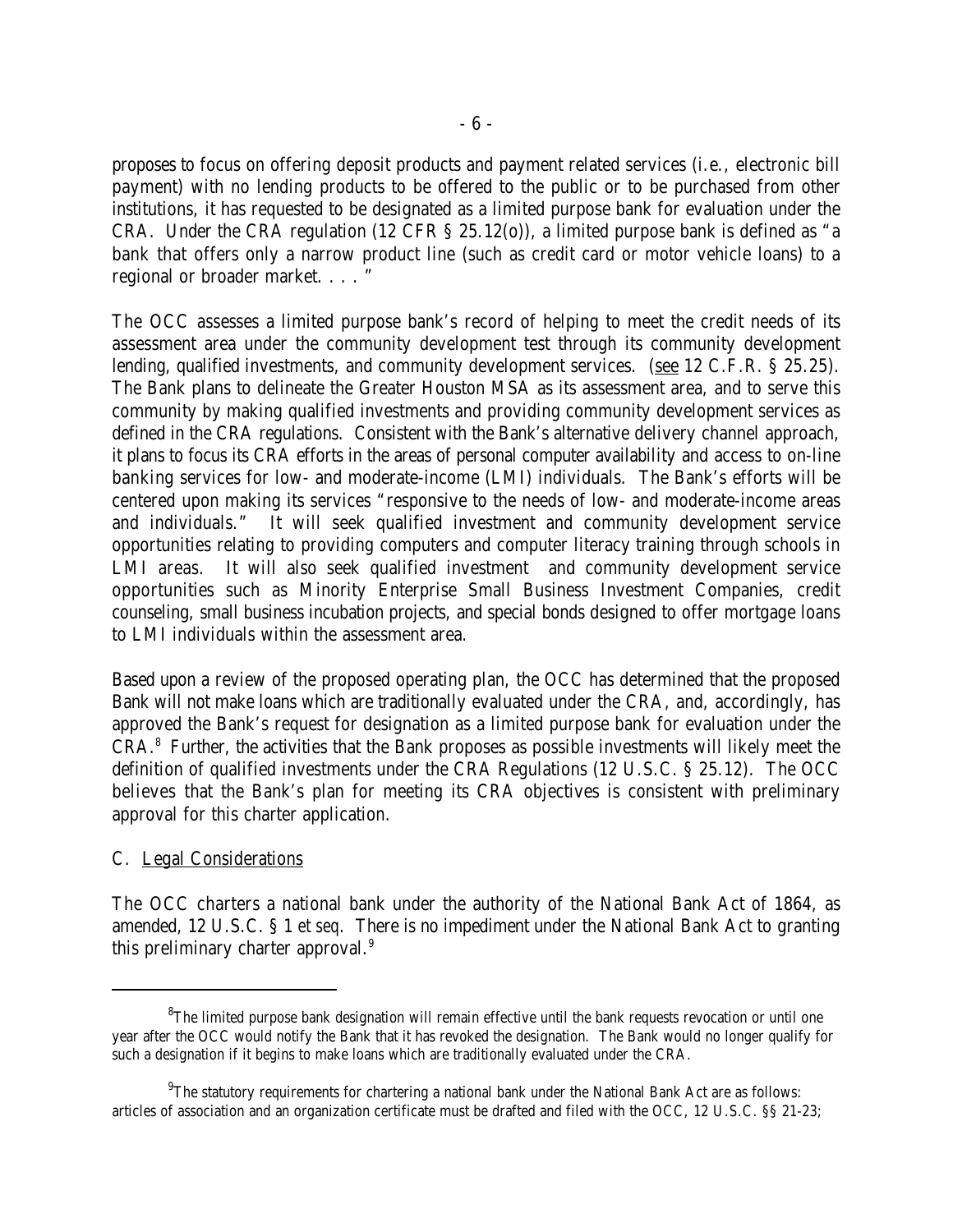proposes to focus on offering deposit products and payment related services (i.e., electronic bill payment) with no lending products to be offered to the public or to be purchased from other institutions, it has requested to be designated as a limited purpose bank for evaluation under the CRA. Under the CRA regulation (12 CFR § 25.12(o)), a limited purpose bank is defined as "a bank that offers only a narrow product line (such as credit card or motor vehicle loans) to a regional or broader market. . . . "

The OCC assesses a limited purpose bank's record of helping to meet the credit needs of its assessment area under the community development test through its community development lending, qualified investments, and community development services. (see 12 C.F.R. § 25.25). The Bank plans to delineate the Greater Houston MSA as its assessment area, and to serve this community by making qualified investments and providing community development services as defined in the CRA regulations. Consistent with the Bank's alternative delivery channel approach, it plans to focus its CRA efforts in the areas of personal computer availability and access to on-line banking services for low- and moderate-income (LMI) individuals. The Bank's efforts will be centered upon making its services "responsive to the needs of low- and moderate-income areas and individuals." It will seek qualified investment and community development service opportunities relating to providing computers and computer literacy training through schools in LMI areas. It will also seek qualified investment and community development service opportunities such as Minority Enterprise Small Business Investment Companies, credit counseling, small business incubation projects, and special bonds designed to offer mortgage loans to LMI individuals within the assessment area.

Based upon a review of the proposed operating plan, the OCC has determined that the proposed Bank will not make loans which are traditionally evaluated under the CRA, and, accordingly, has approved the Bank's request for designation as a limited purpose bank for evaluation under the CRA.<sup>8</sup> Further, the activities that the Bank proposes as possible investments will likely meet the definition of qualified investments under the CRA Regulations (12 U.S.C. § 25.12). The OCC believes that the Bank's plan for meeting its CRA objectives is consistent with preliminary approval for this charter application.

### C. Legal Considerations

The OCC charters a national bank under the authority of the National Bank Act of 1864, as amended, 12 U.S.C. § 1 *et seq*. There is no impediment under the National Bank Act to granting this preliminary charter approval.<sup>9</sup>

 ${}^{8}$ The limited purpose bank designation will remain effective until the bank requests revocation or until one year after the OCC would notify the Bank that it has revoked the designation. The Bank would no longer qualify for such a designation if it begins to make loans which are traditionally evaluated under the CRA.

 $^{9}$ The statutory requirements for chartering a national bank under the National Bank Act are as follows: articles of association and an organization certificate must be drafted and filed with the OCC, 12 U.S.C. §§ 21-23;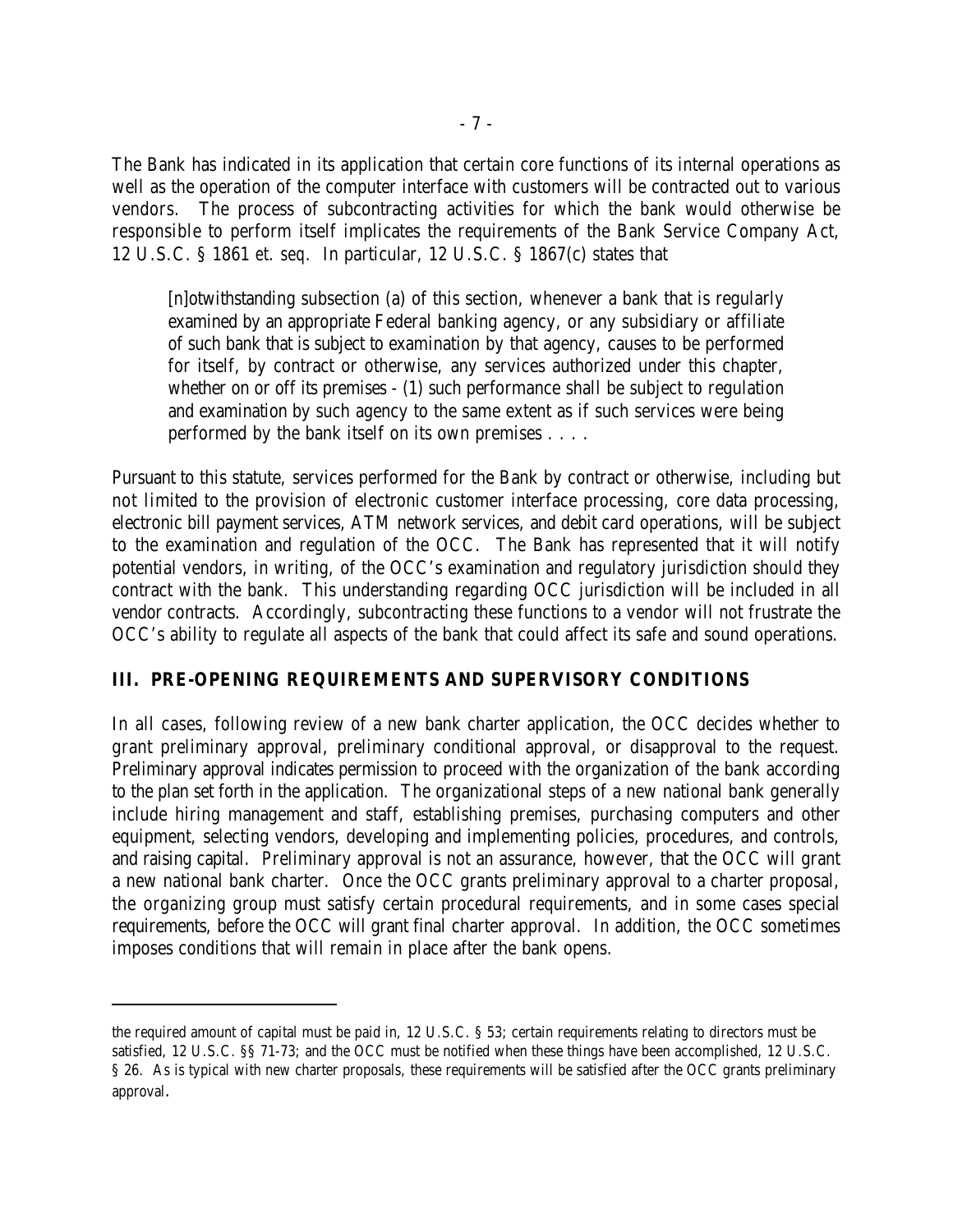The Bank has indicated in its application that certain core functions of its internal operations as well as the operation of the computer interface with customers will be contracted out to various vendors. The process of subcontracting activities for which the bank would otherwise be responsible to perform itself implicates the requirements of the Bank Service Company Act, 12 U.S.C. § 1861 *et. seq*. In particular, 12 U.S.C. § 1867(c) states that

[n]otwithstanding subsection (a) of this section, whenever a bank that is regularly examined by an appropriate Federal banking agency, or any subsidiary or affiliate of such bank that is subject to examination by that agency, causes to be performed for itself, by contract or otherwise, any services authorized under this chapter, whether on or off its premises - (1) such performance shall be subject to regulation and examination by such agency to the same extent as if such services were being performed by the bank itself on its own premises . . . .

Pursuant to this statute, services performed for the Bank by contract or otherwise, including but not limited to the provision of electronic customer interface processing, core data processing, electronic bill payment services, ATM network services, and debit card operations, will be subject to the examination and regulation of the OCC. The Bank has represented that it will notify potential vendors, in writing, of the OCC's examination and regulatory jurisdiction should they contract with the bank. This understanding regarding OCC jurisdiction will be included in all vendor contracts. Accordingly, subcontracting these functions to a vendor will not frustrate the OCC's ability to regulate all aspects of the bank that could affect its safe and sound operations.

### **III. PRE-OPENING REQUIREMENTS AND SUPERVISORY CONDITIONS**

In all cases, following review of a new bank charter application, the OCC decides whether to grant preliminary approval, preliminary conditional approval, or disapproval to the request. Preliminary approval indicates permission to proceed with the organization of the bank according to the plan set forth in the application. The organizational steps of a new national bank generally include hiring management and staff, establishing premises, purchasing computers and other equipment, selecting vendors, developing and implementing policies, procedures, and controls, and raising capital. Preliminary approval is not an assurance, however, that the OCC will grant a new national bank charter. Once the OCC grants preliminary approval to a charter proposal, the organizing group must satisfy certain procedural requirements, and in some cases special requirements, before the OCC will grant final charter approval. In addition, the OCC sometimes imposes conditions that will remain in place after the bank opens.

the required amount of capital must be paid in, 12 U.S.C. § 53; certain requirements relating to directors must be satisfied, 12 U.S.C. §§ 71-73; and the OCC must be notified when these things have been accomplished, 12 U.S.C. § 26. As is typical with new charter proposals, these requirements will be satisfied after the OCC grants preliminary approval.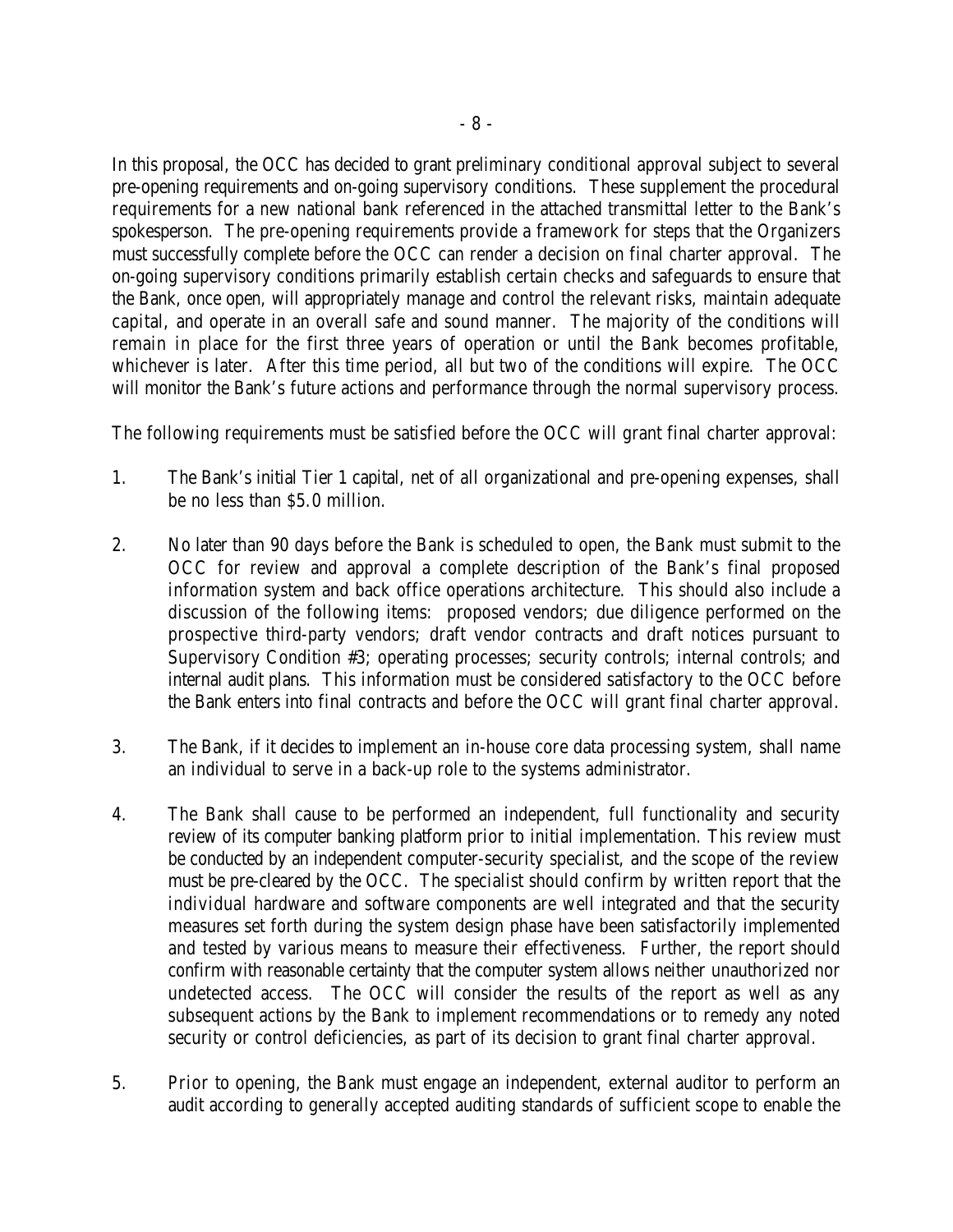In this proposal, the OCC has decided to grant preliminary conditional approval subject to several pre-opening requirements and on-going supervisory conditions. These supplement the procedural requirements for a new national bank referenced in the attached transmittal letter to the Bank's spokesperson. The pre-opening requirements provide a framework for steps that the Organizers must successfully complete before the OCC can render a decision on final charter approval. The on-going supervisory conditions primarily establish certain checks and safeguards to ensure that the Bank, once open, will appropriately manage and control the relevant risks, maintain adequate capital, and operate in an overall safe and sound manner. The majority of the conditions will remain in place for the first three years of operation or until the Bank becomes profitable, whichever is later. After this time period, all but two of the conditions will expire. The OCC will monitor the Bank's future actions and performance through the normal supervisory process.

The following requirements must be satisfied before the OCC will grant final charter approval:

- 1. The Bank's initial Tier 1 capital, net of all organizational and pre-opening expenses, shall be no less than \$5.0 million.
- 2. No later than 90 days before the Bank is scheduled to open, the Bank must submit to the OCC for review and approval a complete description of the Bank's final proposed information system and back office operations architecture. This should also include a discussion of the following items: proposed vendors; due diligence performed on the prospective third-party vendors; draft vendor contracts and draft notices pursuant to Supervisory Condition #3; operating processes; security controls; internal controls; and internal audit plans. This information must be considered satisfactory to the OCC before the Bank enters into final contracts and before the OCC will grant final charter approval.
- 3. The Bank, if it decides to implement an in-house core data processing system, shall name an individual to serve in a back-up role to the systems administrator.
- 4. The Bank shall cause to be performed an independent, full functionality and security review of its computer banking platform prior to initial implementation. This review must be conducted by an independent computer-security specialist, and the scope of the review must be pre-cleared by the OCC. The specialist should confirm by written report that the individual hardware and software components are well integrated and that the security measures set forth during the system design phase have been satisfactorily implemented and tested by various means to measure their effectiveness. Further, the report should confirm with reasonable certainty that the computer system allows neither unauthorized nor undetected access. The OCC will consider the results of the report as well as any subsequent actions by the Bank to implement recommendations or to remedy any noted security or control deficiencies, as part of its decision to grant final charter approval.
- 5. Prior to opening, the Bank must engage an independent, external auditor to perform an audit according to generally accepted auditing standards of sufficient scope to enable the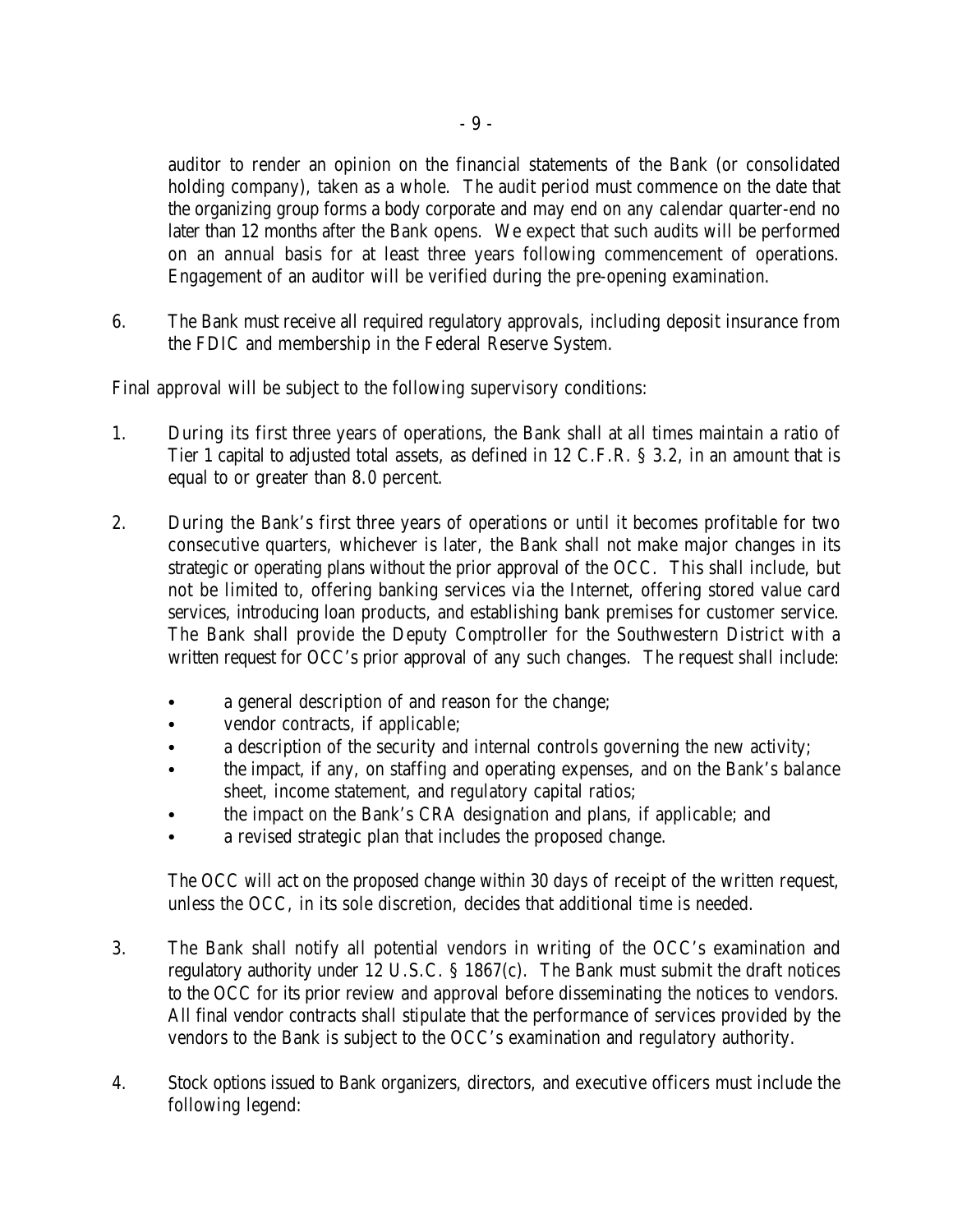auditor to render an opinion on the financial statements of the Bank (or consolidated holding company), taken as a whole. The audit period must commence on the date that the organizing group forms a body corporate and may end on any calendar quarter-end no later than 12 months after the Bank opens. We expect that such audits will be performed on an annual basis for at least three years following commencement of operations. Engagement of an auditor will be verified during the pre-opening examination.

6. The Bank must receive all required regulatory approvals, including deposit insurance from the FDIC and membership in the Federal Reserve System.

Final approval will be subject to the following supervisory conditions:

- 1. During its first three years of operations, the Bank shall at all times maintain a ratio of Tier 1 capital to adjusted total assets, as defined in 12 C.F.R. § 3.2, in an amount that is equal to or greater than 8.0 percent.
- 2. During the Bank's first three years of operations or until it becomes profitable for two consecutive quarters, whichever is later, the Bank shall not make major changes in its strategic or operating plans without the prior approval of the OCC. This shall include, but not be limited to, offering banking services via the Internet, offering stored value card services, introducing loan products, and establishing bank premises for customer service. The Bank shall provide the Deputy Comptroller for the Southwestern District with a written request for OCC's prior approval of any such changes. The request shall include:
	- a general description of and reason for the change;
	- vendor contracts, if applicable;
	- a description of the security and internal controls governing the new activity;
	- the impact, if any, on staffing and operating expenses, and on the Bank's balance sheet, income statement, and regulatory capital ratios;
	- the impact on the Bank's CRA designation and plans, if applicable; and
	- a revised strategic plan that includes the proposed change.

The OCC will act on the proposed change within 30 days of receipt of the written request, unless the OCC, in its sole discretion, decides that additional time is needed.

- 3. The Bank shall notify all potential vendors in writing of the OCC's examination and regulatory authority under 12 U.S.C. § 1867(c). The Bank must submit the draft notices to the OCC for its prior review and approval before disseminating the notices to vendors. All final vendor contracts shall stipulate that the performance of services provided by the vendors to the Bank is subject to the OCC's examination and regulatory authority.
- 4. Stock options issued to Bank organizers, directors, and executive officers must include the following legend: